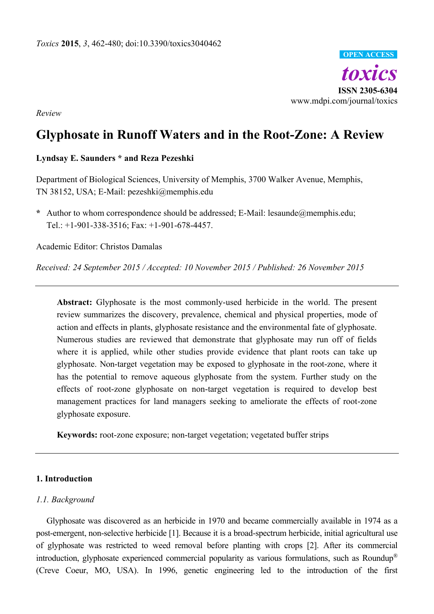

*Review*

# **Glyphosate in Runoff Waters and in the Root-Zone: A Review**

# **Lyndsay E. Saunders \* and Reza Pezeshki**

Department of Biological Sciences, University of Memphis, 3700 Walker Avenue, Memphis, TN 38152, USA; E-Mail: pezeshki@memphis.edu

**\*** Author to whom correspondence should be addressed; E-Mail: lesaunde@memphis.edu; Tel.: +1-901-338-3516; Fax: +1-901-678-4457.

Academic Editor: Christos Damalas

*Received: 24 September 2015 / Accepted: 10 November 2015 / Published: 26 November 2015*

**Abstract:** Glyphosate is the most commonly-used herbicide in the world. The present review summarizes the discovery, prevalence, chemical and physical properties, mode of action and effects in plants, glyphosate resistance and the environmental fate of glyphosate. Numerous studies are reviewed that demonstrate that glyphosate may run off of fields where it is applied, while other studies provide evidence that plant roots can take up glyphosate. Non-target vegetation may be exposed to glyphosate in the root-zone, where it has the potential to remove aqueous glyphosate from the system. Further study on the effects of root-zone glyphosate on non-target vegetation is required to develop best management practices for land managers seeking to ameliorate the effects of root-zone glyphosate exposure.

**Keywords:** root-zone exposure; non-target vegetation; vegetated buffer strips

## **1. Introduction**

## *1.1. Background*

Glyphosate was discovered as an herbicide in 1970 and became commercially available in 1974 as a post-emergent, non-selective herbicide [1]. Because it is a broad-spectrum herbicide, initial agricultural use of glyphosate was restricted to weed removal before planting with crops [2]. After its commercial introduction, glyphosate experienced commercial popularity as various formulations, such as Roundup® (Creve Coeur, MO, USA). In 1996, genetic engineering led to the introduction of the first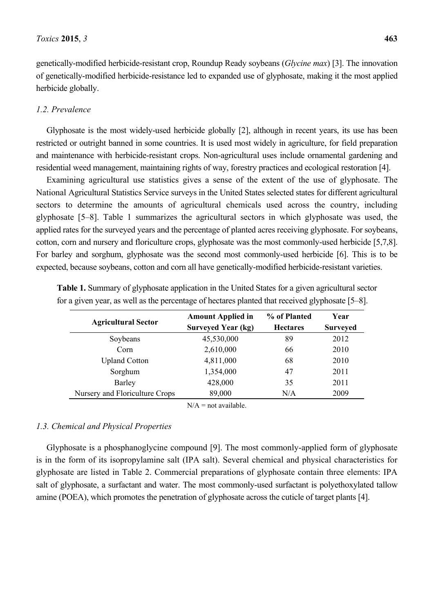genetically-modified herbicide-resistant crop, Roundup Ready soybeans (*Glycine max*) [3]. The innovation of genetically-modified herbicide-resistance led to expanded use of glyphosate, making it the most applied herbicide globally.

#### *1.2. Prevalence*

Glyphosate is the most widely-used herbicide globally [2], although in recent years, its use has been restricted or outright banned in some countries. It is used most widely in agriculture, for field preparation and maintenance with herbicide-resistant crops. Non-agricultural uses include ornamental gardening and residential weed management, maintaining rights of way, forestry practices and ecological restoration [4].

Examining agricultural use statistics gives a sense of the extent of the use of glyphosate. The National Agricultural Statistics Service surveys in the United States selected states for different agricultural sectors to determine the amounts of agricultural chemicals used across the country, including glyphosate [5–8]. Table 1 summarizes the agricultural sectors in which glyphosate was used, the applied rates for the surveyed years and the percentage of planted acres receiving glyphosate. For soybeans, cotton, corn and nursery and floriculture crops, glyphosate was the most commonly-used herbicide [5,7,8]. For barley and sorghum, glyphosate was the second most commonly-used herbicide [6]. This is to be expected, because soybeans, cotton and corn all have genetically-modified herbicide-resistant varieties.

| <b>Agricultural Sector</b>     | <b>Amount Applied in</b><br><b>Surveyed Year (kg)</b> | % of Planted<br><b>Hectares</b> | Year<br><b>Surveyed</b> |  |
|--------------------------------|-------------------------------------------------------|---------------------------------|-------------------------|--|
| Soybeans                       | 45,530,000                                            | 89                              | 2012                    |  |
| Corn                           | 2,610,000                                             | 66                              | 2010                    |  |
| <b>Upland Cotton</b>           | 4,811,000                                             | 68                              | 2010                    |  |
| Sorghum                        | 1,354,000                                             | 47                              | 2011                    |  |
| Barley                         | 428,000                                               | 35                              | 2011                    |  |
| Nursery and Floriculture Crops | 89,000                                                | N/A                             | 2009                    |  |
|                                | $N/A$ = not available                                 |                                 |                         |  |

**Table 1.** Summary of glyphosate application in the United States for a given agricultural sector for a given year, as well as the percentage of hectares planted that received glyphosate [5–8].

#### *1.3. Chemical and Physical Properties*

Glyphosate is a phosphanoglycine compound [9]. The most commonly-applied form of glyphosate is in the form of its isopropylamine salt (IPA salt). Several chemical and physical characteristics for glyphosate are listed in Table 2. Commercial preparations of glyphosate contain three elements: IPA salt of glyphosate, a surfactant and water. The most commonly-used surfactant is polyethoxylated tallow amine (POEA), which promotes the penetration of glyphosate across the cuticle of target plants [4].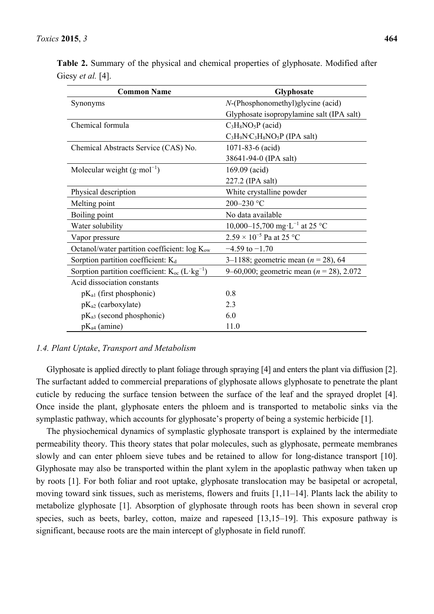| <b>Common Name</b>                                             | <b>Glyphosate</b>                            |
|----------------------------------------------------------------|----------------------------------------------|
| Synonyms                                                       | $N$ -(Phosphonomethyl)glycine (acid)         |
|                                                                | Glyphosate isopropylamine salt (IPA salt)    |
| Chemical formula                                               | $C_3H_8NO_5P$ (acid)                         |
|                                                                | $C_3H_9N^{\dagger}C_3H_8NO_5P$ (IPA salt)    |
| Chemical Abstracts Service (CAS) No.                           | $1071 - 83 - 6$ (acid)                       |
|                                                                | 38641-94-0 (IPA salt)                        |
| Molecular weight $(g \mod^{-1})$                               | $169.09$ (acid)                              |
|                                                                | 227.2 (IPA salt)                             |
| Physical description                                           | White crystalline powder                     |
| Melting point                                                  | 200-230 °C                                   |
| Boiling point                                                  | No data available                            |
| Water solubility                                               | 10,000–15,700 mg·L <sup>-1</sup> at 25 °C    |
| Vapor pressure                                                 | $2.59 \times 10^{-5}$ Pa at 25 °C            |
| Octanol/water partition coefficient: $log K_{ow}$              | $-4.59$ to $-1.70$                           |
| Sorption partition coefficient: $K_d$                          | 3–1188; geometric mean ( $n = 28$ ), 64      |
| Sorption partition coefficient: $K_{oc}$ (L·kg <sup>-1</sup> ) | 9–60,000; geometric mean ( $n = 28$ ), 2.072 |
| Acid dissociation constants                                    |                                              |
| $pK_{a1}$ (first phosphonic)                                   | 0.8                                          |
| $pK_{a2}$ (carboxylate)                                        | 2.3                                          |
| $pK_{a3}$ (second phosphonic)                                  | 6.0                                          |
| $pK_{a4}$ (amine)                                              | 11.0                                         |

**Table 2.** Summary of the physical and chemical properties of glyphosate. Modified after Giesy *et al.* [4].

#### *1.4. Plant Uptake*, *Transport and Metabolism*

Glyphosate is applied directly to plant foliage through spraying [4] and enters the plant via diffusion [2]. The surfactant added to commercial preparations of glyphosate allows glyphosate to penetrate the plant cuticle by reducing the surface tension between the surface of the leaf and the sprayed droplet [4]. Once inside the plant, glyphosate enters the phloem and is transported to metabolic sinks via the symplastic pathway, which accounts for glyphosate's property of being a systemic herbicide [1].

The physiochemical dynamics of symplastic glyphosate transport is explained by the intermediate permeability theory. This theory states that polar molecules, such as glyphosate, permeate membranes slowly and can enter phloem sieve tubes and be retained to allow for long-distance transport [10]. Glyphosate may also be transported within the plant xylem in the apoplastic pathway when taken up by roots [1]. For both foliar and root uptake, glyphosate translocation may be basipetal or acropetal, moving toward sink tissues, such as meristems, flowers and fruits [1,11–14]. Plants lack the ability to metabolize glyphosate [1]. Absorption of glyphosate through roots has been shown in several crop species, such as beets, barley, cotton, maize and rapeseed [13,15–19]. This exposure pathway is significant, because roots are the main intercept of glyphosate in field runoff.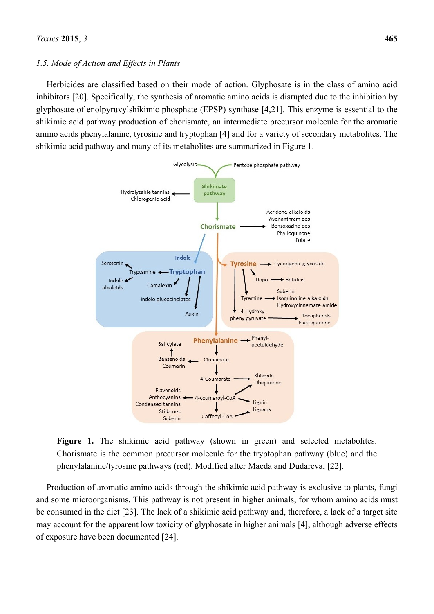#### *1.5. Mode of Action and Effects in Plants*

Herbicides are classified based on their mode of action. Glyphosate is in the class of amino acid inhibitors [20]. Specifically, the synthesis of aromatic amino acids is disrupted due to the inhibition by glyphosate of enolpyruvylshikimic phosphate (EPSP) synthase [4,21]. This enzyme is essential to the shikimic acid pathway production of chorismate, an intermediate precursor molecule for the aromatic amino acids phenylalanine, tyrosine and tryptophan [4] and for a variety of secondary metabolites. The shikimic acid pathway and many of its metabolites are summarized in Figure 1.





Production of aromatic amino acids through the shikimic acid pathway is exclusive to plants, fungi and some microorganisms. This pathway is not present in higher animals, for whom amino acids must be consumed in the diet [23]. The lack of a shikimic acid pathway and, therefore, a lack of a target site may account for the apparent low toxicity of glyphosate in higher animals [4], although adverse effects of exposure have been documented [24].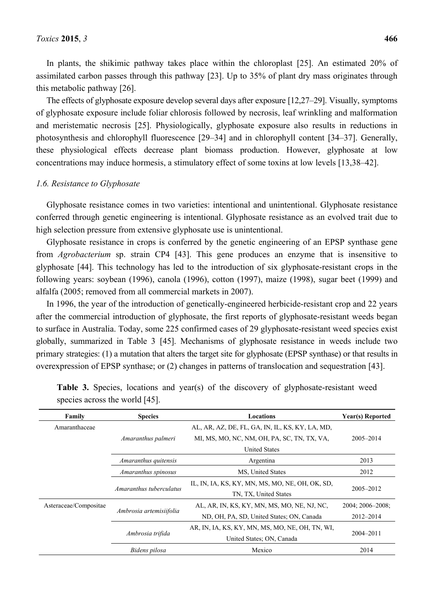assimilated carbon passes through this pathway [23]. Up to 35% of plant dry mass originates through this metabolic pathway [26].

The effects of glyphosate exposure develop several days after exposure [12,27–29]. Visually, symptoms of glyphosate exposure include foliar chlorosis followed by necrosis, leaf wrinkling and malformation and meristematic necrosis [25]. Physiologically, glyphosate exposure also results in reductions in photosynthesis and chlorophyll fluorescence [29–34] and in chlorophyll content [34–37]. Generally, these physiological effects decrease plant biomass production. However, glyphosate at low concentrations may induce hormesis, a stimulatory effect of some toxins at low levels [13,38–42].

#### *1.6. Resistance to Glyphosate*

Glyphosate resistance comes in two varieties: intentional and unintentional. Glyphosate resistance conferred through genetic engineering is intentional. Glyphosate resistance as an evolved trait due to high selection pressure from extensive glyphosate use is unintentional.

Glyphosate resistance in crops is conferred by the genetic engineering of an EPSP synthase gene from *Agrobacterium* sp. strain CP4 [43]. This gene produces an enzyme that is insensitive to glyphosate [44]. This technology has led to the introduction of six glyphosate-resistant crops in the following years: soybean (1996), canola (1996), cotton (1997), maize (1998), sugar beet (1999) and alfalfa (2005; removed from all commercial markets in 2007).

In 1996, the year of the introduction of genetically-engineered herbicide-resistant crop and 22 years after the commercial introduction of glyphosate, the first reports of glyphosate-resistant weeds began to surface in Australia. Today, some 225 confirmed cases of 29 glyphosate-resistant weed species exist globally, summarized in Table 3 [45]. Mechanisms of glyphosate resistance in weeds include two primary strategies: (1) a mutation that alters the target site for glyphosate (EPSP synthase) or that results in overexpression of EPSP synthase; or (2) changes in patterns of translocation and sequestration [43].

| Family                | <b>Species</b><br>Locations |                                                 | Year(s) Reported     |  |
|-----------------------|-----------------------------|-------------------------------------------------|----------------------|--|
| Amaranthaceae         |                             | AL, AR, AZ, DE, FL, GA, IN, IL, KS, KY, LA, MD, |                      |  |
|                       | Amaranthus palmeri          | MI, MS, MO, NC, NM, OH, PA, SC, TN, TX, VA,     | 2005-2014            |  |
|                       |                             | <b>United States</b>                            |                      |  |
|                       | Amaranthus quitensis        | Argentina                                       | 2013                 |  |
|                       | Amaranthus spinosus         | MS, United States                               | 2012                 |  |
|                       | Amaranthus tuberculatus     | IL, IN, IA, KS, KY, MN, MS, MO, NE, OH, OK, SD, |                      |  |
|                       |                             | TN, TX, United States                           | 2005-2012            |  |
| Asteraceae/Compositae |                             | AL, AR, IN, KS, KY, MN, MS, MO, NE, NJ, NC,     | $2004; 2006 - 2008;$ |  |
|                       | Ambrosia artemisiifolia     | ND, OH, PA, SD, United States; ON, Canada       | $2012 - 2014$        |  |
|                       |                             | AR, IN, IA, KS, KY, MN, MS, MO, NE, OH, TN, WI, |                      |  |
|                       | Ambrosia trifida            | United States; ON, Canada                       | $2004 - 2011$        |  |
|                       | Bidens pilosa               | Mexico                                          | 2014                 |  |

|  |                                |  |  |  | <b>Table 3.</b> Species, locations and year(s) of the discovery of glyphosate-resistant weed |  |
|--|--------------------------------|--|--|--|----------------------------------------------------------------------------------------------|--|
|  | species across the world [45]. |  |  |  |                                                                                              |  |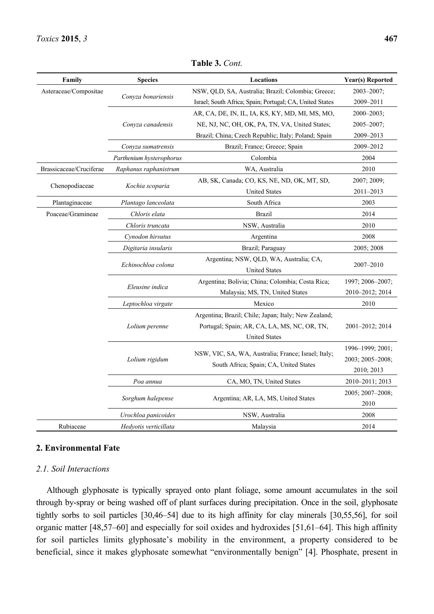| Family                  | <b>Species</b>           | Locations                                                                                            | Year(s) Reported |
|-------------------------|--------------------------|------------------------------------------------------------------------------------------------------|------------------|
| Asteraceae/Compositae   |                          | NSW, QLD, SA, Australia; Brazil; Colombia; Greece;                                                   | 2003-2007;       |
|                         | Conyza bonariensis       | Israel; South Africa; Spain; Portugal; CA, United States                                             | 2009-2011        |
|                         |                          | AR, CA, DE, IN, IL, IA, KS, KY, MD, MI, MS, MO,                                                      | $2000 - 2003$ ;  |
|                         | Conyza canadensis        | NE, NJ, NC, OH, OK, PA, TN, VA, United States;                                                       | 2005-2007;       |
|                         |                          | Brazil; China; Czech Republic; Italy; Poland; Spain                                                  | 2009-2013        |
|                         | Conyza sumatrensis       | Brazil; France; Greece; Spain                                                                        | 2009-2012        |
|                         | Parthenium hysterophorus | Colombia                                                                                             | 2004             |
| Brassicaceae/Cruciferae | Raphanus raphanistrum    | WA, Australia                                                                                        | 2010             |
|                         |                          | AB, SK, Canada; CO, KS, NE, ND, OK, MT, SD,                                                          | 2007; 2009;      |
| Chenopodiaceae          | Kochia scoparia          | <b>United States</b>                                                                                 | 2011-2013        |
| Plantaginaceae          | Plantago lanceolata      | South Africa                                                                                         | 2003             |
| Poaceae/Gramineae       | Chloris elata            | <b>Brazil</b>                                                                                        | 2014             |
|                         | Chloris truncata         | NSW, Australia                                                                                       | 2010             |
|                         | Cynodon hirsutus         | Argentina                                                                                            | 2008             |
|                         | Digitaria insularis      | Brazil; Paraguay                                                                                     | 2005; 2008       |
|                         | Echinochloa colona       | Argentina; NSW, QLD, WA, Australia; CA,<br><b>United States</b>                                      | 2007-2010        |
|                         |                          | Argentina; Bolivia; China; Colombia; Costa Rica;                                                     | 1997; 2006-2007; |
|                         | Eleusine indica          | Malaysia; MS, TN, United States                                                                      | 2010-2012; 2014  |
|                         | Leptochloa virgate       | Mexico                                                                                               | 2010             |
|                         | Lolium perenne           | Argentina; Brazil; Chile; Japan; Italy; New Zealand;<br>Portugal; Spain; AR, CA, LA, MS, NC, OR, TN, | 2001-2012; 2014  |
|                         |                          | <b>United States</b>                                                                                 |                  |
|                         |                          | NSW, VIC, SA, WA, Australia; France; Israel; Italy;                                                  | 1996-1999; 2001; |
|                         | Lolium rigidum           | South Africa; Spain; CA, United States                                                               | 2003; 2005-2008; |
|                         |                          |                                                                                                      | 2010; 2013       |
|                         | Poa annua                | CA, MO, TN, United States                                                                            | 2010-2011; 2013  |
|                         | Sorghum halepense        | Argentina; AR, LA, MS, United States                                                                 | 2005; 2007-2008; |
|                         |                          |                                                                                                      | 2010             |
|                         | Urochloa panicoides      | NSW, Australia                                                                                       | 2008             |
| Rubiaceae               | Hedyotis verticillata    | Malaysia                                                                                             | 2014             |

**Table 3.** *Cont.*

#### **2. Environmental Fate**

#### *2.1. Soil Interactions*

Although glyphosate is typically sprayed onto plant foliage, some amount accumulates in the soil through by-spray or being washed off of plant surfaces during precipitation. Once in the soil, glyphosate tightly sorbs to soil particles [30,46–54] due to its high affinity for clay minerals [30,55,56], for soil organic matter [48,57–60] and especially for soil oxides and hydroxides [51,61–64]. This high affinity for soil particles limits glyphosate's mobility in the environment, a property considered to be beneficial, since it makes glyphosate somewhat "environmentally benign" [4]. Phosphate, present in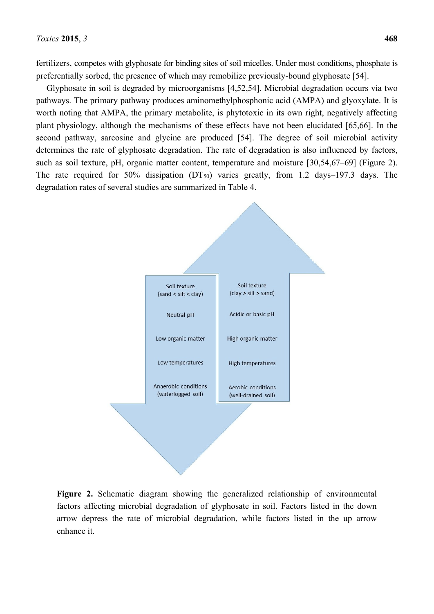fertilizers, competes with glyphosate for binding sites of soil micelles. Under most conditions, phosphate is preferentially sorbed, the presence of which may remobilize previously-bound glyphosate [54].

Glyphosate in soil is degraded by microorganisms [4,52,54]. Microbial degradation occurs via two pathways. The primary pathway produces aminomethylphosphonic acid (AMPA) and glyoxylate. It is worth noting that AMPA, the primary metabolite, is phytotoxic in its own right, negatively affecting plant physiology, although the mechanisms of these effects have not been elucidated [65,66]. In the second pathway, sarcosine and glycine are produced [54]. The degree of soil microbial activity determines the rate of glyphosate degradation. The rate of degradation is also influenced by factors, such as soil texture, pH, organic matter content, temperature and moisture [30,54,67–69] (Figure 2). The rate required for 50% dissipation  $(DT_{50})$  varies greatly, from 1.2 days–197.3 days. The degradation rates of several studies are summarized in Table 4.



**Figure 2.** Schematic diagram showing the generalized relationship of environmental factors affecting microbial degradation of glyphosate in soil. Factors listed in the down arrow depress the rate of microbial degradation, while factors listed in the up arrow enhance it.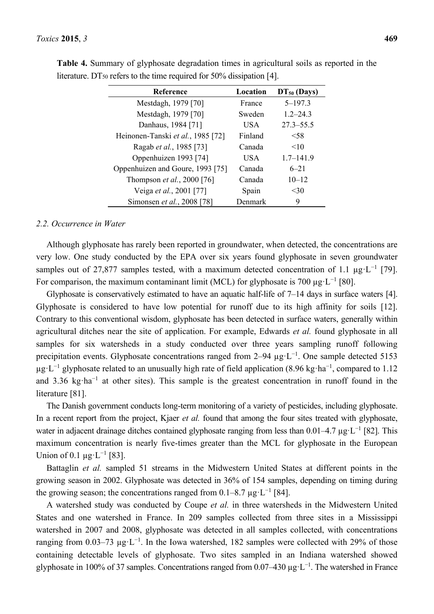| <b>Reference</b>                  | Location | $DT50$ (Days) |
|-----------------------------------|----------|---------------|
| Mestdagh, 1979 [70]               | France   | $5 - 197.3$   |
| Mestdagh, 1979 [70]               | Sweden   | $1.2 - 24.3$  |
| Danhaus, 1984 [71]                | USA.     | $27.3 - 55.5$ |
| Heinonen-Tanski et al., 1985 [72] | Finland  | < 58          |
| Ragab et al., 1985 [73]           | Canada   | <10           |
| Oppenhuizen 1993 [74]             | USA      | $1.7 - 141.9$ |
| Oppenhuizen and Goure, 1993 [75]  | Canada   | $6 - 21$      |
| Thompson et al., 2000 [76]        | Canada   | $10 - 12$     |
| Veiga et al., 2001 [77]           | Spain    | $<$ 30        |
| Simonsen et al., 2008 [78]        | Denmark  | 9             |

**Table 4.** Summary of glyphosate degradation times in agricultural soils as reported in the literature. DT $_{50}$  refers to the time required for 50% dissipation [4].

#### *2.2. Occurrence in Water*

Although glyphosate has rarely been reported in groundwater, when detected, the concentrations are very low. One study conducted by the EPA over six years found glyphosate in seven groundwater samples out of 27,877 samples tested, with a maximum detected concentration of 1.1  $\mu$ g·L<sup>-1</sup> [79]. For comparison, the maximum contaminant limit (MCL) for glyphosate is 700  $\mu$ g·L<sup>-1</sup> [80].

Glyphosate is conservatively estimated to have an aquatic half-life of 7–14 days in surface waters [4]. Glyphosate is considered to have low potential for runoff due to its high affinity for soils [12]. Contrary to this conventional wisdom, glyphosate has been detected in surface waters, generally within agricultural ditches near the site of application. For example, Edwards *et al.* found glyphosate in all samples for six watersheds in a study conducted over three years sampling runoff following precipitation events. Glyphosate concentrations ranged from  $2-94 \mu g \cdot L^{-1}$ . One sample detected 5153  $\mu$ g·L<sup>-1</sup> glyphosate related to an unusually high rate of field application (8.96 kg·ha<sup>-1</sup>, compared to 1.12 and 3.36 kg·ha<sup>-1</sup> at other sites). This sample is the greatest concentration in runoff found in the literature [81].

The Danish government conducts long-term monitoring of a variety of pesticides, including glyphosate. In a recent report from the project, Kjaer *et al.* found that among the four sites treated with glyphosate, water in adjacent drainage ditches contained glyphosate ranging from less than  $0.01-4.7 \mu g \cdot L^{-1}$  [82]. This maximum concentration is nearly five-times greater than the MCL for glyphosate in the European Union of 0.1  $\mu$ g·L<sup>-1</sup> [83].

Battaglin *et al.* sampled 51 streams in the Midwestern United States at different points in the growing season in 2002. Glyphosate was detected in 36% of 154 samples, depending on timing during the growing season; the concentrations ranged from  $0.1-8.7 \mu g \cdot L^{-1}$  [84].

A watershed study was conducted by Coupe *et al.* in three watersheds in the Midwestern United States and one watershed in France. In 209 samples collected from three sites in a Mississippi watershed in 2007 and 2008, glyphosate was detected in all samples collected, with concentrations ranging from 0.03–73  $\mu$ g·L<sup>-1</sup>. In the Iowa watershed, 182 samples were collected with 29% of those containing detectable levels of glyphosate. Two sites sampled in an Indiana watershed showed glyphosate in 100% of 37 samples. Concentrations ranged from 0.07–430  $\mu$ g·L<sup>-1</sup>. The watershed in France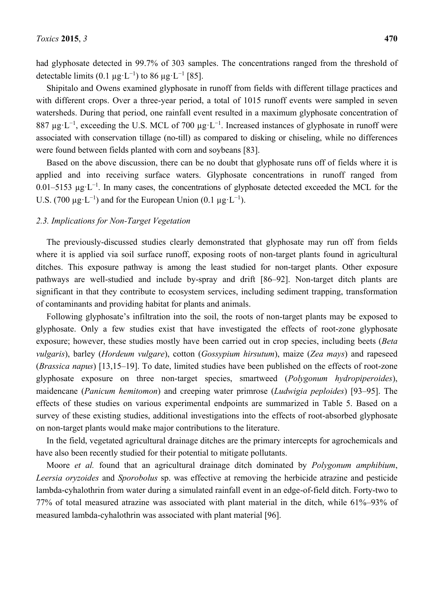had glyphosate detected in 99.7% of 303 samples. The concentrations ranged from the threshold of detectable limits (0.1  $\mu$ g·L<sup>-1</sup>) to 86  $\mu$ g·L<sup>-1</sup> [85].

Shipitalo and Owens examined glyphosate in runoff from fields with different tillage practices and with different crops. Over a three-year period, a total of 1015 runoff events were sampled in seven watersheds. During that period, one rainfall event resulted in a maximum glyphosate concentration of 887  $\mu$ g·L<sup>-1</sup>, exceeding the U.S. MCL of 700  $\mu$ g·L<sup>-1</sup>. Increased instances of glyphosate in runoff were associated with conservation tillage (no-till) as compared to disking or chiseling, while no differences were found between fields planted with corn and soybeans [83].

Based on the above discussion, there can be no doubt that glyphosate runs off of fields where it is applied and into receiving surface waters. Glyphosate concentrations in runoff ranged from 0.01–5153  $\mu$ g·L<sup>-1</sup>. In many cases, the concentrations of glyphosate detected exceeded the MCL for the U.S. (700  $\mu$ g·L<sup>-1</sup>) and for the European Union (0.1  $\mu$ g·L<sup>-1</sup>).

### *2.3. Implications for Non-Target Vegetation*

The previously-discussed studies clearly demonstrated that glyphosate may run off from fields where it is applied via soil surface runoff, exposing roots of non-target plants found in agricultural ditches. This exposure pathway is among the least studied for non-target plants. Other exposure pathways are well-studied and include by-spray and drift [86–92]. Non-target ditch plants are significant in that they contribute to ecosystem services, including sediment trapping, transformation of contaminants and providing habitat for plants and animals.

Following glyphosate's infiltration into the soil, the roots of non-target plants may be exposed to glyphosate. Only a few studies exist that have investigated the effects of root-zone glyphosate exposure; however, these studies mostly have been carried out in crop species, including beets (*Beta vulgaris*), barley (*Hordeum vulgare*), cotton (*Gossypium hirsutum*), maize (*Zea mays*) and rapeseed (*Brassica napus*) [13,15–19]. To date, limited studies have been published on the effects of root-zone glyphosate exposure on three non-target species, smartweed (*Polygonum hydropiperoides*), maidencane (*Panicum hemitomon*) and creeping water primrose (*Ludwigia peploides*) [93–95]. The effects of these studies on various experimental endpoints are summarized in Table 5. Based on a survey of these existing studies, additional investigations into the effects of root-absorbed glyphosate on non-target plants would make major contributions to the literature.

In the field, vegetated agricultural drainage ditches are the primary intercepts for agrochemicals and have also been recently studied for their potential to mitigate pollutants.

Moore *et al.* found that an agricultural drainage ditch dominated by *Polygonum amphibium*, *Leersia oryzoides* and *Sporobolus* sp. was effective at removing the herbicide atrazine and pesticide lambda-cyhalothrin from water during a simulated rainfall event in an edge-of-field ditch. Forty-two to 77% of total measured atrazine was associated with plant material in the ditch, while 61%–93% of measured lambda-cyhalothrin was associated with plant material [96].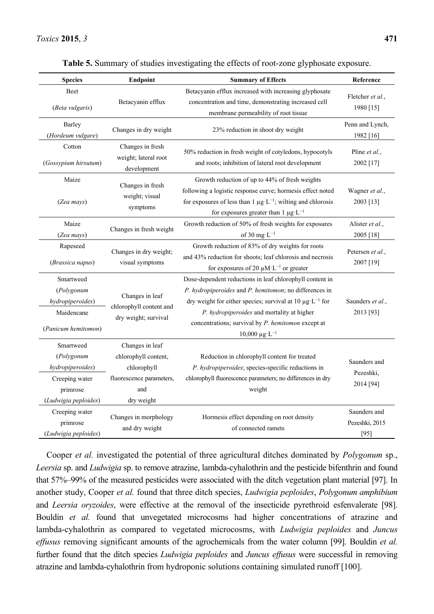| <b>Species</b>                                                                                    | Endpoint                                                                                                | <b>Summary of Effects</b>                                                                                                                                                                                                                                                                                                            | Reference                                |
|---------------------------------------------------------------------------------------------------|---------------------------------------------------------------------------------------------------------|--------------------------------------------------------------------------------------------------------------------------------------------------------------------------------------------------------------------------------------------------------------------------------------------------------------------------------------|------------------------------------------|
| <b>Beet</b><br>(Beta vulgaris)                                                                    | Betacyanin efflux                                                                                       | Betacyanin efflux increased with increasing glyphosate<br>concentration and time, demonstrating increased cell<br>membrane permeability of root tissue                                                                                                                                                                               | Fletcher et al.,<br>1980 [15]            |
| Barley<br>(Hordeum vulgare)                                                                       | Changes in dry weight                                                                                   | 23% reduction in shoot dry weight                                                                                                                                                                                                                                                                                                    | Penn and Lynch,<br>1982 [16]             |
| Cotton<br>(Gossypium hirsutum)                                                                    | Changes in fresh<br>weight; lateral root<br>development                                                 | 50% reduction in fresh weight of cotyledons, hypocotyls<br>and roots; inhibition of lateral root development                                                                                                                                                                                                                         | Pline et al.,<br>2002 [17]               |
| Maize<br>(Zea mays)                                                                               | Changes in fresh<br>weight; visual<br>symptoms                                                          | Growth reduction of up to 44% of fresh weights<br>following a logistic response curve; hormesis effect noted<br>for exposures of less than 1 $\mu$ g·L <sup>-1</sup> ; wilting and chlorosis<br>for exposures greater than $1 \mu g \cdot L^{-1}$                                                                                    | Wagner et al.,<br>2003 [13]              |
| Maize<br>(Zea mays)                                                                               | Changes in fresh weight                                                                                 | Growth reduction of 50% of fresh weights for exposures<br>of 30 mg· $L^{-1}$                                                                                                                                                                                                                                                         | Alister et al.,<br>2005 [18]             |
| Rapeseed<br>(Brassica napus)                                                                      | Changes in dry weight;<br>visual symptoms                                                               | Growth reduction of 83% of dry weights for roots<br>and 43% reduction for shoots; leaf chlorosis and necrosis<br>for exposures of 20 $\mu$ M·L <sup>-1</sup> or greater                                                                                                                                                              | Petersen et al.,<br>2007 [19]            |
| Smartweed<br>(Polygonum<br>hydropiperoides)<br>Maidencane<br>(Panicum hemitomon)                  | Changes in leaf<br>chlorophyll content and<br>dry weight; survival                                      | Dose-dependent reductions in leaf chlorophyll content in<br>P. hydropiperoides and P. hemitomon; no differences in<br>dry weight for either species; survival at 10 $\mu$ g·L <sup>-1</sup> for<br>P. hydropiperoides and mortality at higher<br>concentrations; survival by P. hemitomon except at<br>$10,000 \ \mu g \cdot L^{-1}$ | Saunders et al.,<br>2013 [93]            |
| Smartweed<br>(Polygonum<br>hydropiperoides)<br>Creeping water<br>primrose<br>(Ludwigia peploides) | Changes in leaf<br>chlorophyll content,<br>chlorophyll<br>fluorescence parameters,<br>and<br>dry weight | Reduction in chlorophyll content for treated<br>P. hydropiperoides; species-specific reductions in<br>chlorophyll fluorescence parameters; no differences in dry<br>weight                                                                                                                                                           | Saunders and<br>Pezeshki,<br>2014 [94]   |
| Creeping water<br>primrose<br>(Ludwigia peploides)                                                | Changes in morphology<br>and dry weight                                                                 | Hormesis effect depending on root density<br>of connected ramets                                                                                                                                                                                                                                                                     | Saunders and<br>Pezeshki, 2015<br>$[95]$ |

**Table 5.** Summary of studies investigating the effects of root-zone glyphosate exposure.

Cooper *et al.* investigated the potential of three agricultural ditches dominated by *Polygonum* sp., *Leersia* sp. and *Ludwigia* sp. to remove atrazine, lambda-cyhalothrin and the pesticide bifenthrin and found that 57%–99% of the measured pesticides were associated with the ditch vegetation plant material [97]. In another study, Cooper *et al.* found that three ditch species, *Ludwigia peploides*, *Polygonum amphibium*  and *Leersia oryzoides*, were effective at the removal of the insecticide pyrethroid esfenvalerate [98]. Bouldin *et al.* found that unvegetated microcosms had higher concentrations of atrazine and lambda-cyhalothrin as compared to vegetated microcosms, with *Ludwigia peploides* and *Juncus effusus* removing significant amounts of the agrochemicals from the water column [99]. Bouldin *et al.* further found that the ditch species *Ludwigia peploides* and *Juncus effusus* were successful in removing atrazine and lambda-cyhalothrin from hydroponic solutions containing simulated runoff [100].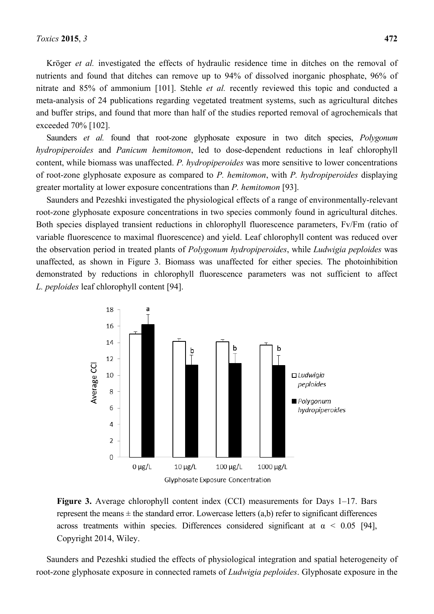Krӧger *et al.* investigated the effects of hydraulic residence time in ditches on the removal of nutrients and found that ditches can remove up to 94% of dissolved inorganic phosphate, 96% of nitrate and 85% of ammonium [101]. Stehle *et al.* recently reviewed this topic and conducted a meta-analysis of 24 publications regarding vegetated treatment systems, such as agricultural ditches and buffer strips, and found that more than half of the studies reported removal of agrochemicals that exceeded 70% [102].

Saunders *et al.* found that root-zone glyphosate exposure in two ditch species, *Polygonum hydropiperoides* and *Panicum hemitomon*, led to dose-dependent reductions in leaf chlorophyll content, while biomass was unaffected. *P. hydropiperoides* was more sensitive to lower concentrations of root-zone glyphosate exposure as compared to *P. hemitomon*, with *P. hydropiperoides* displaying greater mortality at lower exposure concentrations than *P. hemitomon* [93].

Saunders and Pezeshki investigated the physiological effects of a range of environmentally-relevant root-zone glyphosate exposure concentrations in two species commonly found in agricultural ditches. Both species displayed transient reductions in chlorophyll fluorescence parameters, Fv/Fm (ratio of variable fluorescence to maximal fluorescence) and yield. Leaf chlorophyll content was reduced over the observation period in treated plants of *Polygonum hydropiperoides*, while *Ludwigia peploides* was unaffected, as shown in Figure 3. Biomass was unaffected for either species. The photoinhibition demonstrated by reductions in chlorophyll fluorescence parameters was not sufficient to affect *L. peploides* leaf chlorophyll content [94].



**Figure 3.** Average chlorophyll content index (CCI) measurements for Days 1–17. Bars represent the means  $\pm$  the standard error. Lowercase letters (a,b) refer to significant differences across treatments within species. Differences considered significant at  $\alpha$  < 0.05 [94], Copyright 2014, Wiley.

Saunders and Pezeshki studied the effects of physiological integration and spatial heterogeneity of root-zone glyphosate exposure in connected ramets of *Ludwigia peploides*. Glyphosate exposure in the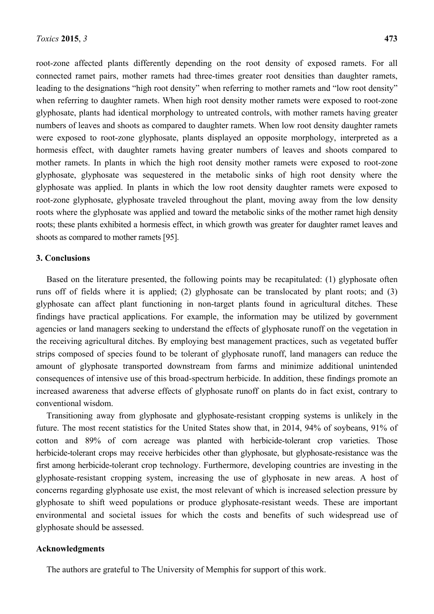root-zone affected plants differently depending on the root density of exposed ramets. For all connected ramet pairs, mother ramets had three-times greater root densities than daughter ramets, leading to the designations "high root density" when referring to mother ramets and "low root density" when referring to daughter ramets. When high root density mother ramets were exposed to root-zone glyphosate, plants had identical morphology to untreated controls, with mother ramets having greater numbers of leaves and shoots as compared to daughter ramets. When low root density daughter ramets were exposed to root-zone glyphosate, plants displayed an opposite morphology, interpreted as a hormesis effect, with daughter ramets having greater numbers of leaves and shoots compared to mother ramets. In plants in which the high root density mother ramets were exposed to root-zone glyphosate, glyphosate was sequestered in the metabolic sinks of high root density where the glyphosate was applied. In plants in which the low root density daughter ramets were exposed to root-zone glyphosate, glyphosate traveled throughout the plant, moving away from the low density roots where the glyphosate was applied and toward the metabolic sinks of the mother ramet high density roots; these plants exhibited a hormesis effect, in which growth was greater for daughter ramet leaves and shoots as compared to mother ramets [95].

#### **3. Conclusions**

Based on the literature presented, the following points may be recapitulated: (1) glyphosate often runs off of fields where it is applied; (2) glyphosate can be translocated by plant roots; and (3) glyphosate can affect plant functioning in non-target plants found in agricultural ditches. These findings have practical applications. For example, the information may be utilized by government agencies or land managers seeking to understand the effects of glyphosate runoff on the vegetation in the receiving agricultural ditches. By employing best management practices, such as vegetated buffer strips composed of species found to be tolerant of glyphosate runoff, land managers can reduce the amount of glyphosate transported downstream from farms and minimize additional unintended consequences of intensive use of this broad-spectrum herbicide. In addition, these findings promote an increased awareness that adverse effects of glyphosate runoff on plants do in fact exist, contrary to conventional wisdom.

Transitioning away from glyphosate and glyphosate-resistant cropping systems is unlikely in the future. The most recent statistics for the United States show that, in 2014, 94% of soybeans, 91% of cotton and 89% of corn acreage was planted with herbicide-tolerant crop varieties. Those herbicide-tolerant crops may receive herbicides other than glyphosate, but glyphosate-resistance was the first among herbicide-tolerant crop technology. Furthermore, developing countries are investing in the glyphosate-resistant cropping system, increasing the use of glyphosate in new areas. A host of concerns regarding glyphosate use exist, the most relevant of which is increased selection pressure by glyphosate to shift weed populations or produce glyphosate-resistant weeds. These are important environmental and societal issues for which the costs and benefits of such widespread use of glyphosate should be assessed.

#### **Acknowledgments**

The authors are grateful to The University of Memphis for support of this work.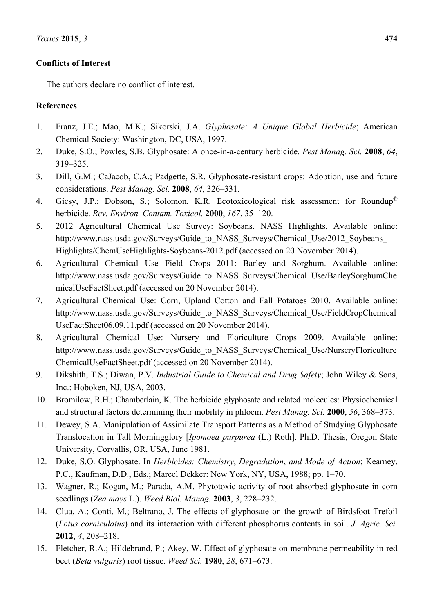# **Conflicts of Interest**

The authors declare no conflict of interest.

# **References**

- 1. Franz, J.E.; Mao, M.K.; Sikorski, J.A. *Glyphosate: A Unique Global Herbicide*; American Chemical Society: Washington, DC, USA, 1997.
- 2. Duke, S.O.; Powles, S.B. Glyphosate: A once-in-a-century herbicide. *Pest Manag. Sci.* **2008**, *64*, 319–325.
- 3. Dill, G.M.; CaJacob, C.A.; Padgette, S.R. Glyphosate-resistant crops: Adoption, use and future considerations. *Pest Manag. Sci.* **2008**, *64*, 326–331.
- 4. Giesy, J.P.; Dobson, S.; Solomon, K.R. Ecotoxicological risk assessment for Roundup® herbicide. *Rev. Environ. Contam. Toxicol.* **2000**, *167*, 35–120.
- 5. 2012 Agricultural Chemical Use Survey: Soybeans. NASS Highlights. Available online: http://www.nass.usda.gov/Surveys/Guide\_to\_NASS\_Surveys/Chemical\_Use/2012\_Soybeans Highlights/ChemUseHighlights-Soybeans-2012.pdf (accessed on 20 November 2014).
- 6. Agricultural Chemical Use Field Crops 2011: Barley and Sorghum. Available online: http://www.nass.usda.gov/Surveys/Guide\_to\_NASS\_Surveys/Chemical\_Use/BarleySorghumChe micalUseFactSheet.pdf (accessed on 20 November 2014).
- 7. Agricultural Chemical Use: Corn, Upland Cotton and Fall Potatoes 2010. Available online: http://www.nass.usda.gov/Surveys/Guide\_to\_NASS\_Surveys/Chemical\_Use/FieldCropChemical\_ UseFactSheet06.09.11.pdf (accessed on 20 November 2014).
- 8. Agricultural Chemical Use: Nursery and Floriculture Crops 2009. Available online: http://www.nass.usda.gov/Surveys/Guide\_to\_NASS\_Surveys/Chemical\_Use/NurseryFloriculture ChemicalUseFactSheet.pdf (accessed on 20 November 2014).
- 9. Dikshith, T.S.; Diwan, P.V. *Industrial Guide to Chemical and Drug Safety*; John Wiley & Sons, Inc.: Hoboken, NJ, USA, 2003.
- 10. Bromilow, R.H.; Chamberlain, K. The herbicide glyphosate and related molecules: Physiochemical and structural factors determining their mobility in phloem. *Pest Manag. Sci.* **2000**, *56*, 368–373.
- 11. Dewey, S.A. Manipulation of Assimilate Transport Patterns as a Method of Studying Glyphosate Translocation in Tall Morningglory [*Ipomoea purpurea* (L.) Roth]. Ph.D. Thesis, Oregon State University, Corvallis, OR, USA, June 1981.
- 12. Duke, S.O. Glyphosate. In *Herbicides: Chemistry*, *Degradation*, *and Mode of Action*; Kearney, P.C., Kaufman, D.D., Eds.; Marcel Dekker: New York, NY, USA, 1988; pp. 1–70.
- 13. Wagner, R.; Kogan, M.; Parada, A.M. Phytotoxic activity of root absorbed glyphosate in corn seedlings (*Zea mays* L.). *Weed Biol. Manag.* **2003**, *3*, 228–232.
- 14. Clua, A.; Conti, M.; Beltrano, J. The effects of glyphosate on the growth of Birdsfoot Trefoil (*Lotus corniculatus*) and its interaction with different phosphorus contents in soil. *J. Agric. Sci.* **2012**, *4*, 208–218.
- 15. Fletcher, R.A.; Hildebrand, P.; Akey, W. Effect of glyphosate on membrane permeability in red beet (*Beta vulgaris*) root tissue. *Weed Sci.* **1980**, *28*, 671–673.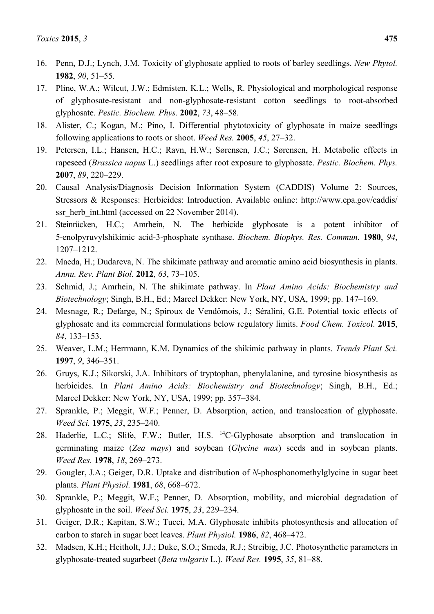- 16. Penn, D.J.; Lynch, J.M. Toxicity of glyphosate applied to roots of barley seedlings. *New Phytol.* **1982**, *90*, 51–55.
- 17. Pline, W.A.; Wilcut, J.W.; Edmisten, K.L.; Wells, R. Physiological and morphological response of glyphosate-resistant and non-glyphosate-resistant cotton seedlings to root-absorbed glyphosate. *Pestic. Biochem. Phys.* **2002**, *73*, 48–58.
- 18. Alister, C.; Kogan, M.; Pino, I. Differential phytotoxicity of glyphosate in maize seedlings following applications to roots or shoot. *Weed Res.* **2005**, *45*, 27–32.
- 19. Petersen, I.L.; Hansen, H.C.; Ravn, H.W.; Sørensen, J.C.; Sørensen, H. Metabolic effects in rapeseed (*Brassica napus* L.) seedlings after root exposure to glyphosate. *Pestic. Biochem. Phys.* **2007**, *89*, 220–229.
- 20. Causal Analysis/Diagnosis Decision Information System (CADDIS) Volume 2: Sources, Stressors & Responses: Herbicides: Introduction. Available online: http://www.epa.gov/caddis/ ssr\_herb\_int.html (accessed on 22 November 2014).
- 21. Steinrücken, H.C.; Amrhein, N. The herbicide glyphosate is a potent inhibitor of 5-enolpyruvylshikimic acid-3-phosphate synthase. *Biochem. Biophys. Res. Commun.* **1980**, *94*, 1207–1212.
- 22. Maeda, H.; Dudareva, N. The shikimate pathway and aromatic amino acid biosynthesis in plants. *Annu. Rev. Plant Biol.* **2012**, *63*, 73–105.
- 23. Schmid, J.; Amrhein, N. The shikimate pathway. In *Plant Amino Acids: Biochemistry and Biotechnology*; Singh, B.H., Ed.; Marcel Dekker: New York, NY, USA, 1999; pp. 147–169.
- 24. Mesnage, R.; Defarge, N.; Spiroux de Vendômois, J.; Séralini, G.E. Potential toxic effects of glyphosate and its commercial formulations below regulatory limits. *Food Chem. Toxicol.* **2015**, *84*, 133–153.
- 25. Weaver, L.M.; Herrmann, K.M. Dynamics of the shikimic pathway in plants. *Trends Plant Sci.* **1997**, *9*, 346–351.
- 26. Gruys, K.J.; Sikorski, J.A. Inhibitors of tryptophan, phenylalanine, and tyrosine biosynthesis as herbicides. In *Plant Amino Acids: Biochemistry and Biotechnology*; Singh, B.H., Ed.; Marcel Dekker: New York, NY, USA, 1999; pp. 357–384.
- 27. Sprankle, P.; Meggit, W.F.; Penner, D. Absorption, action, and translocation of glyphosate. *Weed Sci.* **1975**, *23*, 235–240.
- 28. Haderlie, L.C.; Slife, F.W.; Butler, H.S. <sup>14</sup>C-Glyphosate absorption and translocation in germinating maize (*Zea mays*) and soybean (*Glycine max*) seeds and in soybean plants. *Weed Res.* **1978**, *18*, 269–273.
- 29. Gougler, J.A.; Geiger, D.R. Uptake and distribution of *N*-phosphonomethylglycine in sugar beet plants. *Plant Physiol.* **1981**, *68*, 668–672.
- 30. Sprankle, P.; Meggit, W.F.; Penner, D. Absorption, mobility, and microbial degradation of glyphosate in the soil. *Weed Sci.* **1975**, *23*, 229–234.
- 31. Geiger, D.R.; Kapitan, S.W.; Tucci, M.A. Glyphosate inhibits photosynthesis and allocation of carbon to starch in sugar beet leaves. *Plant Physiol.* **1986**, *82*, 468–472.
- 32. Madsen, K.H.; Heitholt, J.J.; Duke, S.O.; Smeda, R.J.; Streibig, J.C. Photosynthetic parameters in glyphosate-treated sugarbeet (*Beta vulgaris* L.). *Weed Res.* **1995**, *35*, 81–88.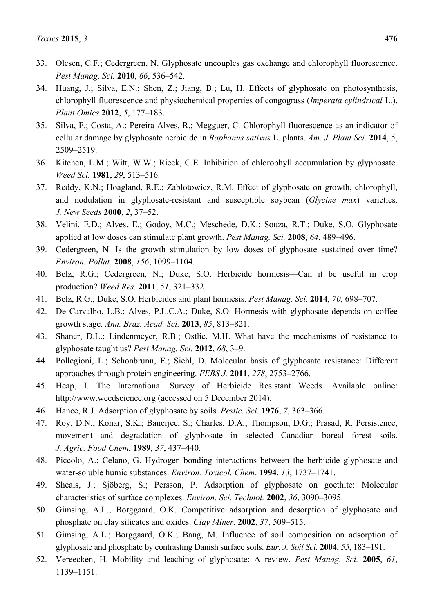- 33. Olesen, C.F.; Cedergreen, N. Glyphosate uncouples gas exchange and chlorophyll fluorescence. *Pest Manag. Sci.* **2010**, *66*, 536–542.
- 34. Huang, J.; Silva, E.N.; Shen, Z.; Jiang, B.; Lu, H. Effects of glyphosate on photosynthesis, chlorophyll fluorescence and physiochemical properties of congograss (*Imperata cylindrical* L.). *Plant Omics* **2012**, *5*, 177–183.
- 35. Silva, F.; Costa, A.; Pereira Alves, R.; Megguer, C. Chlorophyll fluorescence as an indicator of cellular damage by glyphosate herbicide in *Raphanus sativus* L. plants. *Am. J. Plant Sci.* **2014**, *5*, 2509–2519.
- 36. Kitchen, L.M.; Witt, W.W.; Rieck, C.E. Inhibition of chlorophyll accumulation by glyphosate. *Weed Sci.* **1981**, *29*, 513–516.
- 37. Reddy, K.N.; Hoagland, R.E.; Zablotowicz, R.M. Effect of glyphosate on growth, chlorophyll, and nodulation in glyphosate-resistant and susceptible soybean (*Glycine max*) varieties. *J. New Seeds* **2000**, *2*, 37–52.
- 38. Velini, E.D.; Alves, E.; Godoy, M.C.; Meschede, D.K.; Souza, R.T.; Duke, S.O. Glyphosate applied at low doses can stimulate plant growth. *Pest Manag. Sci.* **2008**, *64*, 489–496.
- 39. Cedergreen, N. Is the growth stimulation by low doses of glyphosate sustained over time? *Environ. Pollut.* **2008**, *156*, 1099–1104.
- 40. Belz, R.G.; Cedergreen, N.; Duke, S.O. Herbicide hormesis—Can it be useful in crop production? *Weed Res.* **2011**, *51*, 321–332.
- 41. Belz, R.G.; Duke, S.O. Herbicides and plant hormesis. *Pest Manag. Sci.* **2014**, *70*, 698–707.
- 42. De Carvalho, L.B.; Alves, P.L.C.A.; Duke, S.O. Hormesis with glyphosate depends on coffee growth stage. *Ann. Braz. Acad. Sci.* **2013**, *85*, 813–821.
- 43. Shaner, D.L.; Lindenmeyer, R.B.; Ostlie, M.H. What have the mechanisms of resistance to glyphosate taught us? *Pest Manag. Sci.* **2012**, *68*, 3–9.
- 44. Pollegioni, L.; Schonbrunn, E.; Siehl, D. Molecular basis of glyphosate resistance: Different approaches through protein engineering. *FEBS J.* **2011**, *278*, 2753–2766.
- 45. Heap, I. The International Survey of Herbicide Resistant Weeds. Available online: http://www.weedscience.org (accessed on 5 December 2014).
- 46. Hance, R.J. Adsorption of glyphosate by soils. *Pestic. Sci.* **1976**, *7*, 363–366.
- 47. Roy, D.N.; Konar, S.K.; Banerjee, S.; Charles, D.A.; Thompson, D.G.; Prasad, R. Persistence, movement and degradation of glyphosate in selected Canadian boreal forest soils. *J. Agric. Food Chem.* **1989**, *37*, 437–440.
- 48. Piccolo, A.; Celano, G. Hydrogen bonding interactions between the herbicide glyphosate and water-soluble humic substances. *Environ. Toxicol. Chem.* **1994**, *13*, 1737–1741.
- 49. Sheals, J.; Sjӧberg, S.; Persson, P. Adsorption of glyphosate on goethite: Molecular characteristics of surface complexes. *Environ. Sci. Technol.* **2002**, *36*, 3090–3095.
- 50. Gimsing, A.L.; Borggaard, O.K. Competitive adsorption and desorption of glyphosate and phosphate on clay silicates and oxides. *Clay Miner.* **2002**, *37*, 509–515.
- 51. Gimsing, A.L.; Borggaard, O.K.; Bang, M. Influence of soil composition on adsorption of glyphosate and phosphate by contrasting Danish surface soils. *Eur. J. Soil Sci.* **2004**, *55*, 183–191.
- 52. Vereecken, H. Mobility and leaching of glyphosate: A review. *Pest Manag. Sci.* **2005**, *61*, 1139–1151.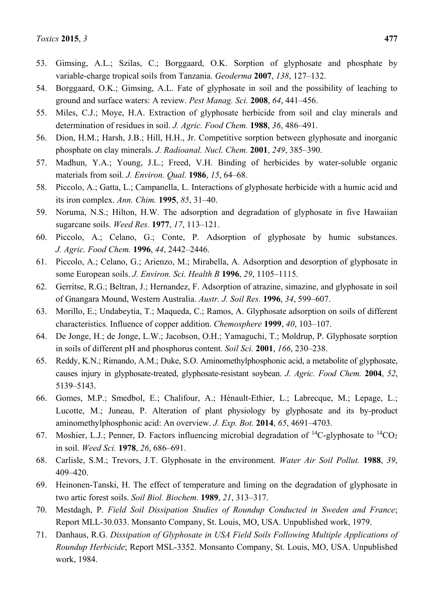- 53. Gimsing, A.L.; Szilas, C.; Borggaard, O.K. Sorption of glyphosate and phosphate by variable-charge tropical soils from Tanzania. *Geoderma* **2007**, *138*, 127–132.
- 54. Borggaard, O.K.; Gimsing, A.L. Fate of glyphosate in soil and the possibility of leaching to ground and surface waters: A review. *Pest Manag. Sci.* **2008**, *64*, 441–456.
- 55. Miles, C.J.; Moye, H.A. Extraction of glyphosate herbicide from soil and clay minerals and determination of residues in soil. *J. Agric. Food Chem.* **1988**, *36*, 486–491.
- 56. Dion, H.M.; Harsh, J.B.; Hill, H.H., Jr. Competitive sorption between glyphosate and inorganic phosphate on clay minerals. *J. Radioanal. Nucl. Chem.* **2001**, *249*, 385–390.
- 57. Madhun, Y.A.; Young, J.L.; Freed, V.H. Binding of herbicides by water-soluble organic materials from soil. *J. Environ. Qual.* **1986**, *15*, 64–68.
- 58. Piccolo, A.; Gatta, L.; Campanella, L. Interactions of glyphosate herbicide with a humic acid and its iron complex. *Ann. Chim.* **1995**, *85*, 31–40.
- 59. Noruma, N.S.; Hilton, H.W. The adsorption and degradation of glyphosate in five Hawaiian sugarcane soils. *Weed Res.* **1977**, *17*, 113–121.
- 60. Piccolo, A.; Celano, G.; Conte, P. Adsorption of glyphosate by humic substances. *J. Agric. Food Chem.* **1996**, *44*, 2442–2446.
- 61. Piccolo, A.; Celano, G.; Arienzo, M.; Mirabella, A. Adsorption and desorption of glyphosate in some European soils. *J. Environ. Sci. Health B* **1996**, *29*, 1105–1115.
- 62. Gerritse, R.G.; Beltran, J.; Hernandez, F. Adsorption of atrazine, simazine, and glyphosate in soil of Gnangara Mound, Western Australia. *Austr. J. Soil Res.* **1996**, *34*, 599–607.
- 63. Morillo, E.; Undabeytia, T.; Maqueda, C.; Ramos, A. Glyphosate adsorption on soils of different characteristics. Influence of copper addition. *Chemosphere* **1999**, *40*, 103–107.
- 64. De Jonge, H.; de Jonge, L.W.; Jacobson, O.H.; Yamaguchi, T.; Moldrup, P. Glyphosate sorption in soils of different pH and phosphorus content. *Soil Sci.* **2001**, *166*, 230–238.
- 65. Reddy, K.N.; Rimando, A.M.; Duke, S.O. Aminomethylphosphonic acid, a metabolite of glyphosate, causes injury in glyphosate-treated, glyphosate-resistant soybean. *J. Agric. Food Chem.* **2004**, *52*, 5139–5143.
- 66. Gomes, M.P.; Smedbol, E.; Chalifour, A.; Hénault-Ethier, L.; Labrecque, M.; Lepage, L.; Lucotte, M.; Juneau, P. Alteration of plant physiology by glyphosate and its by-product aminomethylphosphonic acid: An overview. *J. Exp. Bot.* **2014**, *65*, 4691–4703.
- 67. Moshier, L.J.; Penner, D. Factors influencing microbial degradation of <sup>14</sup>C-glyphosate to <sup>14</sup>CO<sub>2</sub> in soil. *Weed Sci.* **1978**, *26*, 686–691.
- 68. Carlisle, S.M.; Trevors, J.T. Glyphosate in the environment. *Water Air Soil Pollut.* **1988**, *39*, 409–420.
- 69. Heinonen-Tanski, H. The effect of temperature and liming on the degradation of glyphosate in two artic forest soils. *Soil Biol. Biochem.* **1989**, *21*, 313–317.
- 70. Mestdagh, P. *Field Soil Dissipation Studies of Roundup Conducted in Sweden and France*; Report MLL-30.033. Monsanto Company, St. Louis, MO, USA. Unpublished work, 1979.
- 71. Danhaus, R.G. *Dissipation of Glyphosate in USA Field Soils Following Multiple Applications of Roundup Herbicide*; Report MSL-3352. Monsanto Company, St. Louis, MO, USA. Unpublished work, 1984.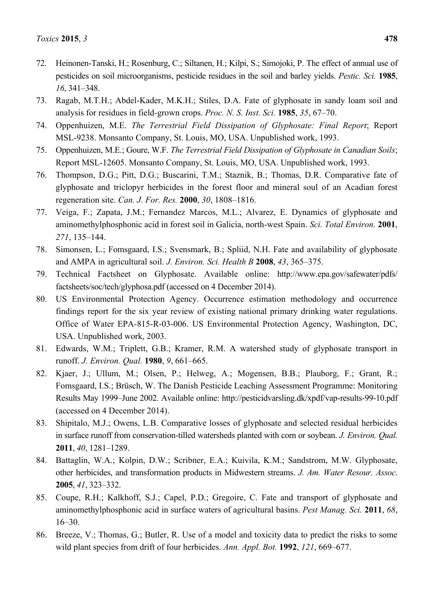- 72. Heinonen-Tanski, H.; Rosenburg, C.; Siltanen, H.; Kilpi, S.; Simojoki, P. The effect of annual use of pesticides on soil microorganisms, pesticide residues in the soil and barley yields. *Pestic. Sci.* **1985**, *16*, 341–348.
- 73. Ragab, M.T.H.; Abdel-Kader, M.K.H.; Stiles, D.A. Fate of glyphosate in sandy loam soil and analysis for residues in field-grown crops. *Proc. N. S. Inst. Sci.* **1985**, *35*, 67–70.
- 74. Oppenhuizen, M.E. *The Terrestrial Field Dissipation of Glyphosate: Final Report*; Report MSL-9238. Monsanto Company, St. Louis, MO, USA. Unpublished work, 1993.
- 75. Oppenhuizen, M.E.; Goure, W.F. *The Terrestrial Field Dissipation of Glyphosate in Canadian Soils*; Report MSL-12605. Monsanto Company, St. Louis, MO, USA. Unpublished work, 1993.
- 76. Thompson, D.G.; Pitt, D.G.; Buscarini, T.M.; Staznik, B.; Thomas, D.R. Comparative fate of glyphosate and triclopyr herbicides in the forest floor and mineral soul of an Acadian forest regeneration site. *Can. J. For. Res.* **2000**, *30*, 1808–1816.
- 77. Veiga, F.; Zapata, J.M.; Fernandez Marcos, M.L.; Alvarez, E. Dynamics of glyphosate and aminomethylphosphonic acid in forest soil in Galicia, north-west Spain. *Sci. Total Environ.* **2001**, *271*, 135–144.
- 78. Simonsen, L.; Fomsgaard, I.S.; Svensmark, B.; Spliid, N.H. Fate and availability of glyphosate and AMPA in agricultural soil. *J. Environ. Sci. Health B* **2008**, *43*, 365–375.
- 79. Technical Factsheet on Glyphosate. Available online: http://www.epa.gov/safewater/pdfs/ factsheets/soc/tech/glyphosa.pdf (accessed on 4 December 2014).
- 80. US Environmental Protection Agency. Occurrence estimation methodology and occurrence findings report for the six year review of existing national primary drinking water regulations. Office of Water EPA-815-R-03-006. US Environmental Protection Agency, Washington, DC, USA. Unpublished work, 2003.
- 81. Edwards, W.M.; Triplett, G.B.; Kramer, R.M. A watershed study of glyphosate transport in runoff. *J. Environ. Qual.* **1980**, *9*, 661–665.
- 82. Kjaer, J.; Ullum, M.; Olsen, P.; Helweg, A.; Mogensen, B.B.; Plauborg, F.; Grant, R.; Fomsgaard, I.S.; Brüsch, W. The Danish Pesticide Leaching Assessment Programme: Monitoring Results May 1999–June 2002. Available online: http://pesticidvarsling.dk/xpdf/vap-results-99-10.pdf (accessed on 4 December 2014).
- 83. Shipitalo, M.J.; Owens, L.B. Comparative losses of glyphosate and selected residual herbicides in surface runoff from conservation-tilled watersheds planted with corn or soybean. *J. Environ. Qual.* **2011**, *40*, 1281–1289.
- 84. Battaglin, W.A.; Kolpin, D.W.; Scribner, E.A.; Kuivila, K.M.; Sandstrom, M.W. Glyphosate, other herbicides, and transformation products in Midwestern streams. *J. Am. Water Resour. Assoc.* **2005**, *41*, 323–332.
- 85. Coupe, R.H.; Kalkhoff, S.J.; Capel, P.D.; Gregoire, C. Fate and transport of glyphosate and aminomethylphosphonic acid in surface waters of agricultural basins. *Pest Manag. Sci.* **2011**, *68*, 16–30.
- 86. Breeze, V.; Thomas, G.; Butler, R. Use of a model and toxicity data to predict the risks to some wild plant species from drift of four herbicides. *Ann. Appl. Bot.* **1992**, *121*, 669–677.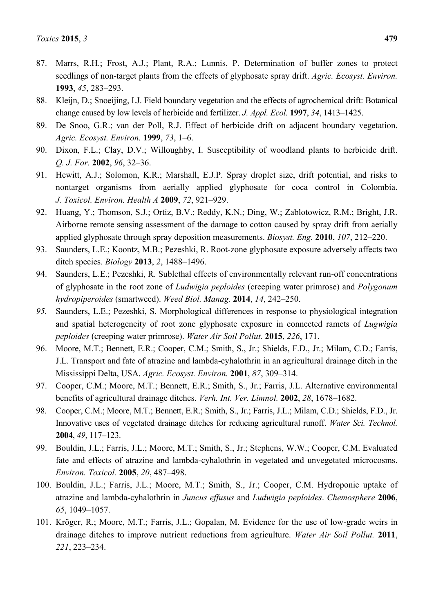- 87. Marrs, R.H.; Frost, A.J.; Plant, R.A.; Lunnis, P. Determination of buffer zones to protect seedlings of non-target plants from the effects of glyphosate spray drift. *Agric. Ecosyst. Environ.* **1993**, *45*, 283–293.
- 88. Kleijn, D.; Snoeijing, I.J. Field boundary vegetation and the effects of agrochemical drift: Botanical change caused by low levels of herbicide and fertilizer. *J. Appl. Ecol.* **1997**, *34*, 1413–1425.
- 89. De Snoo, G.R.; van der Poll, R.J. Effect of herbicide drift on adjacent boundary vegetation. *Agric. Ecosyst. Environ.* **1999**, *73*, 1–6.
- 90. Dixon, F.L.; Clay, D.V.; Willoughby, I. Susceptibility of woodland plants to herbicide drift. *Q. J. For.* **2002**, *96*, 32–36.
- 91. Hewitt, A.J.; Solomon, K.R.; Marshall, E.J.P. Spray droplet size, drift potential, and risks to nontarget organisms from aerially applied glyphosate for coca control in Colombia. *J. Toxicol. Environ. Health A* **2009**, *72*, 921–929.
- 92. Huang, Y.; Thomson, S.J.; Ortiz, B.V.; Reddy, K.N.; Ding, W.; Zablotowicz, R.M.; Bright, J.R. Airborne remote sensing assessment of the damage to cotton caused by spray drift from aerially applied glyphosate through spray deposition measurements. *Biosyst. Eng.* **2010**, *107*, 212–220.
- 93. Saunders, L.E.; Koontz, M.B.; Pezeshki, R. Root-zone glyphosate exposure adversely affects two ditch species. *Biology* **2013**, *2*, 1488–1496.
- 94. Saunders, L.E.; Pezeshki, R. Sublethal effects of environmentally relevant run-off concentrations of glyphosate in the root zone of *Ludwigia peploides* (creeping water primrose) and *Polygonum hydropiperoides* (smartweed). *Weed Biol. Manag.* **2014**, *14*, 242–250.
- *95.* Saunders, L.E.; Pezeshki, S. Morphological differences in response to physiological integration and spatial heterogeneity of root zone glyphosate exposure in connected ramets of *Lugwigia peploides* (creeping water primrose). *Water Air Soil Pollut.* **2015**, *226*, 171.
- 96. Moore, M.T.; Bennett, E.R.; Cooper, C.M.; Smith, S., Jr.; Shields, F.D., Jr.; Milam, C.D.; Farris, J.L. Transport and fate of atrazine and lambda-cyhalothrin in an agricultural drainage ditch in the Mississippi Delta, USA. *Agric. Ecosyst. Environ.* **2001**, *87*, 309–314.
- 97. Cooper, C.M.; Moore, M.T.; Bennett, E.R.; Smith, S., Jr.; Farris, J.L. Alternative environmental benefits of agricultural drainage ditches. *Verh. Int. Ver. Limnol.* **2002**, *28*, 1678–1682.
- 98. Cooper, C.M.; Moore, M.T.; Bennett, E.R.; Smith, S., Jr.; Farris, J.L.; Milam, C.D.; Shields, F.D., Jr. Innovative uses of vegetated drainage ditches for reducing agricultural runoff. *Water Sci. Technol.* **2004**, *49*, 117–123.
- 99. Bouldin, J.L.; Farris, J.L.; Moore, M.T.; Smith, S., Jr.; Stephens, W.W.; Cooper, C.M. Evaluated fate and effects of atrazine and lambda-cyhalothrin in vegetated and unvegetated microcosms. *Environ. Toxicol.* **2005**, *20*, 487–498.
- 100. Bouldin, J.L.; Farris, J.L.; Moore, M.T.; Smith, S., Jr.; Cooper, C.M. Hydroponic uptake of atrazine and lambda-cyhalothrin in *Juncus effusus* and *Ludwigia peploides*. *Chemosphere* **2006**, *65*, 1049–1057.
- 101. Krӧger, R.; Moore, M.T.; Farris, J.L.; Gopalan, M. Evidence for the use of low-grade weirs in drainage ditches to improve nutrient reductions from agriculture. *Water Air Soil Pollut.* **2011**, *221*, 223–234.